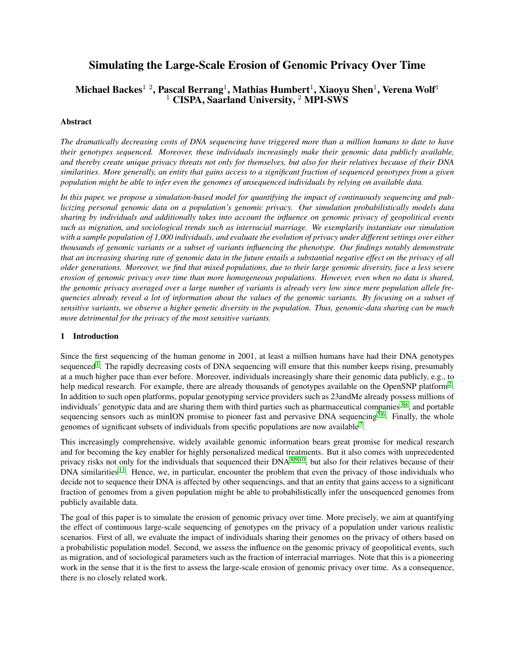# Simulating the Large-Scale Erosion of Genomic Privacy Over Time

## Michael Backes $^{\rm 1}$   $^{\rm 2}$ , Pascal Berrang $^{\rm 1}$ , Mathias Humbert $^{\rm 1}$ , Xiaoyu Shen $^{\rm 1}$ , Verena Wolf $^{\rm 1}$  $1$  CISPA, Saarland University,  $2$  MPI-SWS

## Abstract

*The dramatically decreasing costs of DNA sequencing have triggered more than a million humans to date to have their genotypes sequenced. Moreover, these individuals increasingly make their genomic data publicly available, and thereby create unique privacy threats not only for themselves, but also for their relatives because of their DNA similarities. More generally, an entity that gains access to a significant fraction of sequenced genotypes from a given population might be able to infer even the genomes of unsequenced individuals by relying on available data.*

*In this paper, we propose a simulation-based model for quantifying the impact of continuously sequencing and publicizing personal genomic data on a population's genomic privacy. Our simulation probabilistically models data sharing by individuals and additionally takes into account the influence on genomic privacy of geopolitical events such as migration, and sociological trends such as interracial marriage. We exemplarily instantiate our simulation with a sample population of 1,000 individuals, and evaluate the evolution of privacy under different settings over either thousands of genomic variants or a subset of variants influencing the phenotype. Our findings notably demonstrate that an increasing sharing rate of genomic data in the future entails a substantial negative effect on the privacy of all older generations. Moreover, we find that mixed populations, due to their large genomic diversity, face a less severe erosion of genomic privacy over time than more homogeneous populations. However, even when no data is shared, the genomic privacy averaged over a large number of variants is already very low since mere population allele frequencies already reveal a lot of information about the values of the genomic variants. By focusing on a subset of sensitive variants, we observe a higher genetic diversity in the population. Thus, genomic-data sharing can be much more detrimental for the privacy of the most sensitive variants.*

## 1 Introduction

Since the first sequencing of the human genome in 2001, at least a million humans have had their DNA genotypes sequenced<sup>[1](#page-6-0)</sup>. The rapidly decreasing costs of DNA sequencing will ensure that this number keeps rising, presumably at a much higher pace than ever before. Moreover, individuals increasingly share their genomic data publicly, e.g., to help medical research. For example, there are already thousands of genotypes available on the OpenSNP platform<sup>[2](#page-7-0)</sup>. In addition to such open platforms, popular genotyping service providers such as 23andMe already possess millions of individuals' genotypic data and are sharing them with third parties such as pharmaceutical companies [3,](#page-7-1)[4](#page-7-2), and portable sequencing sensors such as minION promise to pioneer fast and pervasive DNA sequencing<sup>[5,](#page-7-3)[6](#page-7-4)</sup>. Finally, the whole genomes of significant subsets of individuals from specific populations are now available<sup>[7](#page-7-5)</sup>.

This increasingly comprehensive, widely available genomic information bears great promise for medical research and for becoming the key enabler for highly personalized medical treatments. But it also comes with unprecedented privacy risks not only for the individuals that sequenced their DNA<sup>[8,](#page-7-6)[9,](#page-7-7)[10](#page-7-8)</sup>, but also for their relatives because of their DNA similarities<sup>[11](#page-7-9)</sup>. Hence, we, in particular, encounter the problem that even the privacy of those individuals who decide not to sequence their DNA is affected by other sequencings, and that an entity that gains access to a significant fraction of genomes from a given population might be able to probabilistically infer the unsequenced genomes from publicly available data.

The goal of this paper is to simulate the erosion of genomic privacy over time. More precisely, we aim at quantifying the effect of continuous large-scale sequencing of genotypes on the privacy of a population under various realistic scenarios. First of all, we evaluate the impact of individuals sharing their genomes on the privacy of others based on a probabilistic population model. Second, we assess the influence on the genomic privacy of geopolitical events, such as migration, and of sociological parameters such as the fraction of interracial marriages. Note that this is a pioneering work in the sense that it is the first to assess the large-scale erosion of genomic privacy over time. As a consequence, there is no closely related work.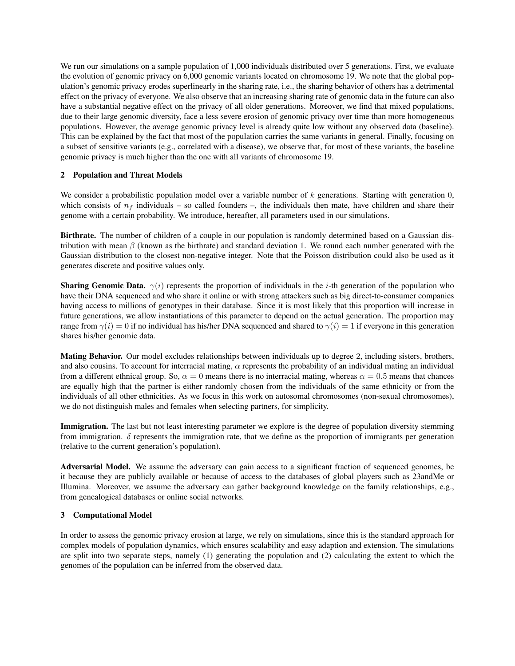We run our simulations on a sample population of 1,000 individuals distributed over 5 generations. First, we evaluate the evolution of genomic privacy on 6,000 genomic variants located on chromosome 19. We note that the global population's genomic privacy erodes superlinearly in the sharing rate, i.e., the sharing behavior of others has a detrimental effect on the privacy of everyone. We also observe that an increasing sharing rate of genomic data in the future can also have a substantial negative effect on the privacy of all older generations. Moreover, we find that mixed populations, due to their large genomic diversity, face a less severe erosion of genomic privacy over time than more homogeneous populations. However, the average genomic privacy level is already quite low without any observed data (baseline). This can be explained by the fact that most of the population carries the same variants in general. Finally, focusing on a subset of sensitive variants (e.g., correlated with a disease), we observe that, for most of these variants, the baseline genomic privacy is much higher than the one with all variants of chromosome 19.

## 2 Population and Threat Models

We consider a probabilistic population model over a variable number of  $k$  generations. Starting with generation 0, which consists of  $n_f$  individuals – so called founders –, the individuals then mate, have children and share their genome with a certain probability. We introduce, hereafter, all parameters used in our simulations.

Birthrate. The number of children of a couple in our population is randomly determined based on a Gaussian distribution with mean  $\beta$  (known as the birthrate) and standard deviation 1. We round each number generated with the Gaussian distribution to the closest non-negative integer. Note that the Poisson distribution could also be used as it generates discrete and positive values only.

**Sharing Genomic Data.**  $\gamma(i)$  represents the proportion of individuals in the *i*-th generation of the population who have their DNA sequenced and who share it online or with strong attackers such as big direct-to-consumer companies having access to millions of genotypes in their database. Since it is most likely that this proportion will increase in future generations, we allow instantiations of this parameter to depend on the actual generation. The proportion may range from  $\gamma(i) = 0$  if no individual has his/her DNA sequenced and shared to  $\gamma(i) = 1$  if everyone in this generation shares his/her genomic data.

Mating Behavior. Our model excludes relationships between individuals up to degree 2, including sisters, brothers, and also cousins. To account for interracial mating,  $\alpha$  represents the probability of an individual mating an individual from a different ethnical group. So,  $\alpha = 0$  means there is no interracial mating, whereas  $\alpha = 0.5$  means that chances are equally high that the partner is either randomly chosen from the individuals of the same ethnicity or from the individuals of all other ethnicities. As we focus in this work on autosomal chromosomes (non-sexual chromosomes), we do not distinguish males and females when selecting partners, for simplicity.

Immigration. The last but not least interesting parameter we explore is the degree of population diversity stemming from immigration. δ represents the immigration rate, that we define as the proportion of immigrants per generation (relative to the current generation's population).

Adversarial Model. We assume the adversary can gain access to a significant fraction of sequenced genomes, be it because they are publicly available or because of access to the databases of global players such as 23andMe or Illumina. Moreover, we assume the adversary can gather background knowledge on the family relationships, e.g., from genealogical databases or online social networks.

## 3 Computational Model

In order to assess the genomic privacy erosion at large, we rely on simulations, since this is the standard approach for complex models of population dynamics, which ensures scalability and easy adaption and extension. The simulations are split into two separate steps, namely (1) generating the population and (2) calculating the extent to which the genomes of the population can be inferred from the observed data.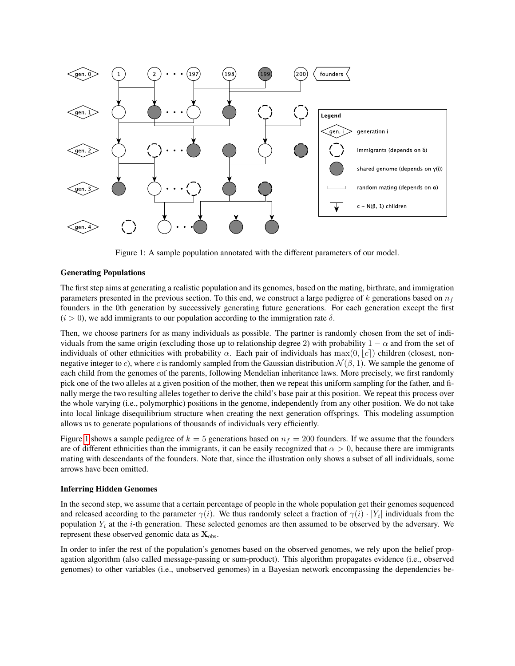<span id="page-2-0"></span>

Figure 1: A sample population annotated with the different parameters of our model.

#### Generating Populations

The first step aims at generating a realistic population and its genomes, based on the mating, birthrate, and immigration parameters presented in the previous section. To this end, we construct a large pedigree of k generations based on  $n_f$ founders in the 0th generation by successively generating future generations. For each generation except the first  $(i > 0)$ , we add immigrants to our population according to the immigration rate  $\delta$ .

Then, we choose partners for as many individuals as possible. The partner is randomly chosen from the set of individuals from the same origin (excluding those up to relationship degree 2) with probability  $1 - \alpha$  and from the set of individuals of other ethnicities with probability  $\alpha$ . Each pair of individuals has max $(0, |c|)$  children (closest, nonnegative integer to c), where c is randomly sampled from the Gaussian distribution  $\mathcal{N}(\beta, 1)$ . We sample the genome of each child from the genomes of the parents, following Mendelian inheritance laws. More precisely, we first randomly pick one of the two alleles at a given position of the mother, then we repeat this uniform sampling for the father, and finally merge the two resulting alleles together to derive the child's base pair at this position. We repeat this process over the whole varying (i.e., polymorphic) positions in the genome, independently from any other position. We do not take into local linkage disequilibrium structure when creating the next generation offsprings. This modeling assumption allows us to generate populations of thousands of individuals very efficiently.

Figure [1](#page-2-0) shows a sample pedigree of  $k = 5$  generations based on  $n_f = 200$  founders. If we assume that the founders are of different ethnicities than the immigrants, it can be easily recognized that  $\alpha > 0$ , because there are immigrants mating with descendants of the founders. Note that, since the illustration only shows a subset of all individuals, some arrows have been omitted.

#### Inferring Hidden Genomes

In the second step, we assume that a certain percentage of people in the whole population get their genomes sequenced and released according to the parameter  $\gamma(i)$ . We thus randomly select a fraction of  $\gamma(i) \cdot |Y_i|$  individuals from the population  $Y_i$  at the *i*-th generation. These selected genomes are then assumed to be observed by the adversary. We represent these observed genomic data as  $X_{obs}$ .

In order to infer the rest of the population's genomes based on the observed genomes, we rely upon the belief propagation algorithm (also called message-passing or sum-product). This algorithm propagates evidence (i.e., observed genomes) to other variables (i.e., unobserved genomes) in a Bayesian network encompassing the dependencies be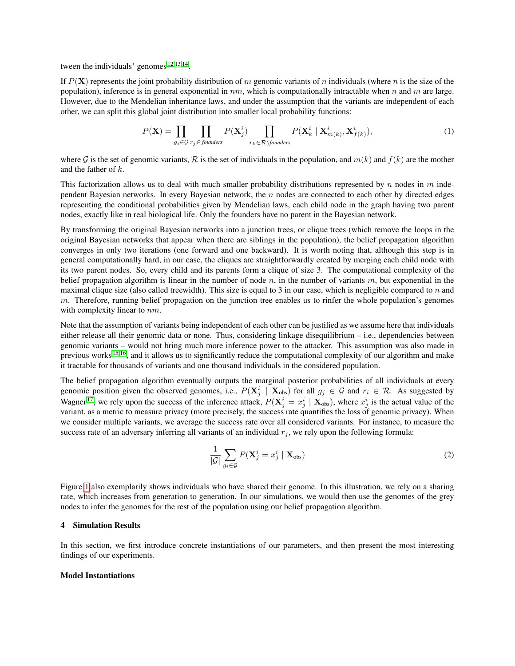tween the individuals' genomes  $12,13,14$  $12,13,14$  $12,13,14$ .

If  $P(X)$  represents the joint probability distribution of m genomic variants of n individuals (where n is the size of the population), inference is in general exponential in  $nm$ , which is computationally intractable when n and m are large. However, due to the Mendelian inheritance laws, and under the assumption that the variants are independent of each other, we can split this global joint distribution into smaller local probability functions:

$$
P(\mathbf{X}) = \prod_{g_i \in \mathcal{G}} \prod_{r_j \in \text{founders}} P(\mathbf{X}_j^i) \prod_{r_k \in \mathcal{R} \setminus \text{founders}} P(\mathbf{X}_k^i \mid \mathbf{X}_{m(k)}^i, \mathbf{X}_{f(k)}^i),\tag{1}
$$

where G is the set of genomic variants, R is the set of individuals in the population, and  $m(k)$  and  $f(k)$  are the mother and the father of  $k$ .

This factorization allows us to deal with much smaller probability distributions represented by n nodes in  $m$  independent Bayesian networks. In every Bayesian network, the  $n$  nodes are connected to each other by directed edges representing the conditional probabilities given by Mendelian laws, each child node in the graph having two parent nodes, exactly like in real biological life. Only the founders have no parent in the Bayesian network.

By transforming the original Bayesian networks into a junction trees, or clique trees (which remove the loops in the original Bayesian networks that appear when there are siblings in the population), the belief propagation algorithm converges in only two iterations (one forward and one backward). It is worth noting that, although this step is in general computationally hard, in our case, the cliques are straightforwardly created by merging each child node with its two parent nodes. So, every child and its parents form a clique of size 3. The computational complexity of the belief propagation algorithm is linear in the number of node  $n$ , in the number of variants  $m$ , but exponential in the maximal clique size (also called treewidth). This size is equal to 3 in our case, which is negligible compared to  $n$  and  $m$ . Therefore, running belief propagation on the junction tree enables us to rinfer the whole population's genomes with complexity linear to  $nm$ .

Note that the assumption of variants being independent of each other can be justified as we assume here that individuals either release all their genomic data or none. Thus, considering linkage disequilibrium – i.e., dependencies between genomic variants – would not bring much more inference power to the attacker. This assumption was also made in previous works <sup>[15,](#page-7-13)[16](#page-7-14)</sup>, and it allows us to significantly reduce the computational complexity of our algorithm and make it tractable for thousands of variants and one thousand individuals in the considered population.

The belief propagation algorithm eventually outputs the marginal posterior probabilities of all individuals at every genomic position given the observed genomes, i.e.,  $P(\mathbf{X}_j^i \mid \mathbf{X}_{obs})$  for all  $g_j \in \mathcal{G}$  and  $r_i \in \mathcal{R}$ . As suggested by Wagner<sup>[17](#page-7-15)</sup>, we rely upon the success of the inference attack,  $P(\mathbf{X}_{j}^{i} = x_{j}^{i} | \mathbf{X}_{obs})$ , where  $x_{j}^{i}$  is the actual value of the variant, as a metric to measure privacy (more precisely, the success rate quantifies the loss of genomic privacy). When we consider multiple variants, we average the success rate over all considered variants. For instance, to measure the success rate of an adversary inferring all variants of an individual  $r<sub>i</sub>$ , we rely upon the following formula:

$$
\frac{1}{|\mathcal{G}|} \sum_{g_i \in \mathcal{G}} P(\mathbf{X}_j^i = x_j^i \mid \mathbf{X}_{obs})
$$
\n(2)

Figure [1](#page-2-0) also exemplarily shows individuals who have shared their genome. In this illustration, we rely on a sharing rate, which increases from generation to generation. In our simulations, we would then use the genomes of the grey nodes to infer the genomes for the rest of the population using our belief propagation algorithm.

#### 4 Simulation Results

In this section, we first introduce concrete instantiations of our parameters, and then present the most interesting findings of our experiments.

#### Model Instantiations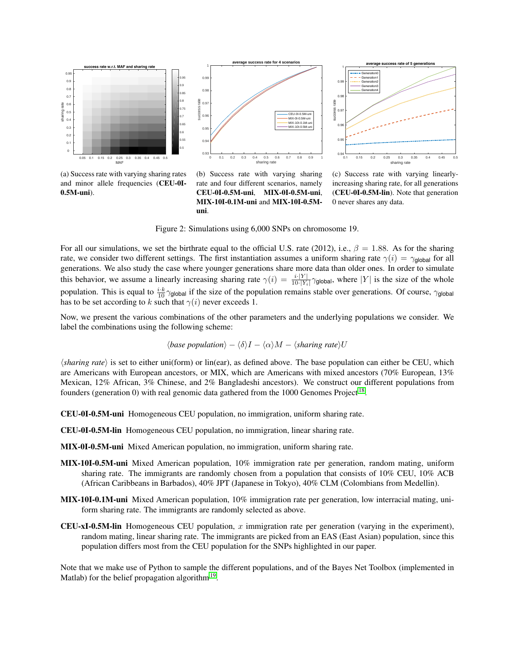<span id="page-4-0"></span>



(a) Success rate with varying sharing rates and minor allele frequencies (CEU-0I-0.5M-uni).

(b) Success rate with varying sharing rate and four different scenarios, namely CEU-0I-0.5M-uni, MIX-0I-0.5M-uni, MIX-10I-0.1M-uni and MIX-10I-0.5Muni.



(c) Success rate with varying linearlyincreasing sharing rate, for all generations (CEU-0I-0.5M-lin). Note that generation 0 never shares any data.

Figure 2: Simulations using 6,000 SNPs on chromosome 19.

For all our simulations, we set the birthrate equal to the official U.S. rate (2012), i.e.,  $\beta = 1.88$ . As for the sharing rate, we consider two different settings. The first instantiation assumes a uniform sharing rate  $\gamma(i) = \gamma_{\text{global}}$  for all generations. We also study the case where younger generations share more data than older ones. In order to simulate this behavior, we assume a linearly increasing sharing rate  $\gamma(i) = \frac{i \cdot |Y|}{10 \cdot |Y_i|} \gamma_{\text{global}}$ , where  $|Y|$  is the size of the whole population. This is equal to  $\frac{i \cdot k}{10} \gamma_{\text{global}}$  if the size of the population remains stable over generations. Of course,  $\gamma_{\text{global}}$ has to be set according to k such that  $\gamma(i)$  never exceeds 1.

Now, we present the various combinations of the other parameters and the underlying populations we consider. We label the combinations using the following scheme:

$$
\langle base\ population \rangle - \langle \delta \rangle I - \langle \alpha \rangle M - \langle sharing\ rate \rangle U
$$

 $\langle sharing\ rate \rangle$  is set to either uni(form) or lin(ear), as defined above. The base population can either be CEU, which are Americans with European ancestors, or MIX, which are Americans with mixed ancestors (70% European, 13% Mexican, 12% African, 3% Chinese, and 2% Bangladeshi ancestors). We construct our different populations from founders (generation 0) with real genomic data gathered from the 1000 Genomes Project<sup>[18](#page-7-16)</sup>.

- CEU-0I-0.5M-uni Homogeneous CEU population, no immigration, uniform sharing rate.
- CEU-0I-0.5M-lin Homogeneous CEU population, no immigration, linear sharing rate.
- MIX-0I-0.5M-uni Mixed American population, no immigration, uniform sharing rate.
- MIX-10I-0.5M-uni Mixed American population, 10% immigration rate per generation, random mating, uniform sharing rate. The immigrants are randomly chosen from a population that consists of 10% CEU, 10% ACB (African Caribbeans in Barbados), 40% JPT (Japanese in Tokyo), 40% CLM (Colombians from Medellin).
- MIX-10I-0.1M-uni Mixed American population, 10% immigration rate per generation, low interracial mating, uniform sharing rate. The immigrants are randomly selected as above.
- CEU-xI-0.5M-lin Homogeneous CEU population,  $x$  immigration rate per generation (varying in the experiment), random mating, linear sharing rate. The immigrants are picked from an EAS (East Asian) population, since this population differs most from the CEU population for the SNPs highlighted in our paper.

Note that we make use of Python to sample the different populations, and of the Bayes Net Toolbox (implemented in Matlab) for the belief propagation algorithm<sup>[19](#page-7-17)</sup>.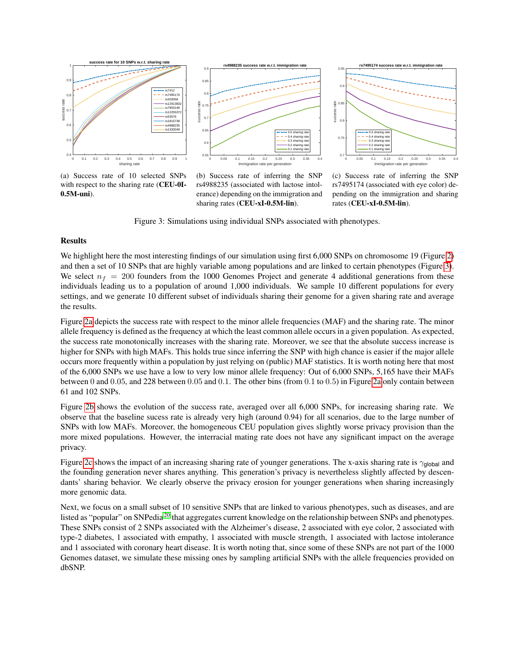<span id="page-5-0"></span>

(a) Success rate of 10 selected SNPs with respect to the sharing rate (CEU-0I-0.5M-uni).



(b) Success rate of inferring the SNP rs4988235 (associated with lactose intolerance) depending on the immigration and sharing rates (CEU-xI-0.5M-lin).



(c) Success rate of inferring the SNP rs7495174 (associated with eye color) depending on the immigration and sharing rates (CEU-xI-0.5M-lin).

Figure 3: Simulations using individual SNPs associated with phenotypes.

## Results

We highlight here the most interesting findings of our simulation using first 6,000 SNPs on chromosome 19 (Figure [2\)](#page-4-0) and then a set of 10 SNPs that are highly variable among populations and are linked to certain phenotypes (Figure [3\)](#page-5-0). We select  $n_f = 200$  founders from the 1000 Genomes Project and generate 4 additional generations from these individuals leading us to a population of around 1,000 individuals. We sample 10 different populations for every settings, and we generate 10 different subset of individuals sharing their genome for a given sharing rate and average the results.

Figure [2a](#page-4-0) depicts the success rate with respect to the minor allele frequencies (MAF) and the sharing rate. The minor allele frequency is defined as the frequency at which the least common allele occurs in a given population. As expected, the success rate monotonically increases with the sharing rate. Moreover, we see that the absolute success increase is higher for SNPs with high MAFs. This holds true since inferring the SNP with high chance is easier if the major allele occurs more frequently within a population by just relying on (public) MAF statistics. It is worth noting here that most of the 6,000 SNPs we use have a low to very low minor allele frequency: Out of 6,000 SNPs, 5,165 have their MAFs between 0 and 0.05, and 228 between 0.05 and 0.1. The other bins (from 0.1 to 0.5) in Figure [2a](#page-4-0) only contain between 61 and 102 SNPs.

Figure [2b](#page-4-0) shows the evolution of the success rate, averaged over all 6,000 SNPs, for increasing sharing rate. We observe that the baseline sucess rate is already very high (around 0.94) for all scenarios, due to the large number of SNPs with low MAFs. Moreover, the homogeneous CEU population gives slightly worse privacy provision than the more mixed populations. However, the interracial mating rate does not have any significant impact on the average privacy.

Figure [2c](#page-4-0) shows the impact of an increasing sharing rate of younger generations. The x-axis sharing rate is  $\gamma_{\text{global}}$  and the founding generation never shares anything. This generation's privacy is nevertheless slightly affected by descendants' sharing behavior. We clearly observe the privacy erosion for younger generations when sharing increasingly more genomic data.

Next, we focus on a small subset of 10 sensitive SNPs that are linked to various phenotypes, such as diseases, and are listed as "popular" on SNPedia<sup>[20](#page-7-18)</sup> that aggregates current knowledge on the relationship between SNPs and phenotypes. These SNPs consist of 2 SNPs associated with the Alzheimer's disease, 2 associated with eye color, 2 associated with type-2 diabetes, 1 associated with empathy, 1 associated with muscle strength, 1 associated with lactose intolerance and 1 associated with coronary heart disease. It is worth noting that, since some of these SNPs are not part of the 1000 Genomes dataset, we simulate these missing ones by sampling artificial SNPs with the allele frequencies provided on dbSNP.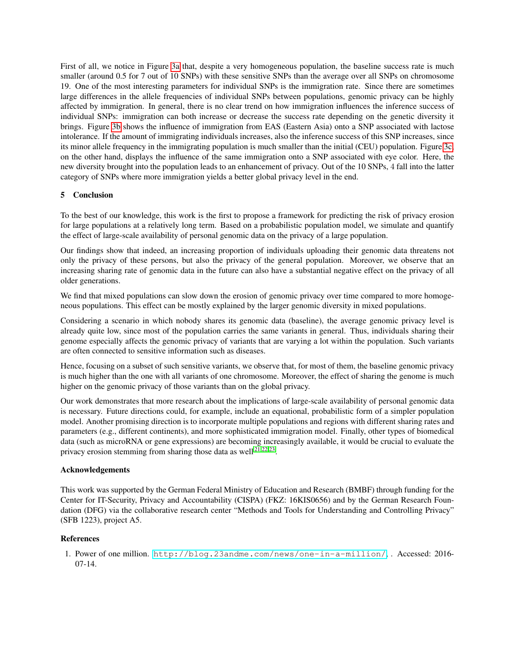First of all, we notice in Figure [3a](#page-5-0) that, despite a very homogeneous population, the baseline success rate is much smaller (around 0.5 for 7 out of 10 SNPs) with these sensitive SNPs than the average over all SNPs on chromosome 19. One of the most interesting parameters for individual SNPs is the immigration rate. Since there are sometimes large differences in the allele frequencies of individual SNPs between populations, genomic privacy can be highly affected by immigration. In general, there is no clear trend on how immigration influences the inference success of individual SNPs: immigration can both increase or decrease the success rate depending on the genetic diversity it brings. Figure [3b](#page-5-0) shows the influence of immigration from EAS (Eastern Asia) onto a SNP associated with lactose intolerance. If the amount of immigrating individuals increases, also the inference success of this SNP increases, since its minor allele frequency in the immigrating population is much smaller than the initial (CEU) population. Figure [3c,](#page-5-0) on the other hand, displays the influence of the same immigration onto a SNP associated with eye color. Here, the new diversity brought into the population leads to an enhancement of privacy. Out of the 10 SNPs, 4 fall into the latter category of SNPs where more immigration yields a better global privacy level in the end.

## 5 Conclusion

To the best of our knowledge, this work is the first to propose a framework for predicting the risk of privacy erosion for large populations at a relatively long term. Based on a probabilistic population model, we simulate and quantify the effect of large-scale availability of personal genomic data on the privacy of a large population.

Our findings show that indeed, an increasing proportion of individuals uploading their genomic data threatens not only the privacy of these persons, but also the privacy of the general population. Moreover, we observe that an increasing sharing rate of genomic data in the future can also have a substantial negative effect on the privacy of all older generations.

We find that mixed populations can slow down the erosion of genomic privacy over time compared to more homogeneous populations. This effect can be mostly explained by the larger genomic diversity in mixed populations.

Considering a scenario in which nobody shares its genomic data (baseline), the average genomic privacy level is already quite low, since most of the population carries the same variants in general. Thus, individuals sharing their genome especially affects the genomic privacy of variants that are varying a lot within the population. Such variants are often connected to sensitive information such as diseases.

Hence, focusing on a subset of such sensitive variants, we observe that, for most of them, the baseline genomic privacy is much higher than the one with all variants of one chromosome. Moreover, the effect of sharing the genome is much higher on the genomic privacy of those variants than on the global privacy.

Our work demonstrates that more research about the implications of large-scale availability of personal genomic data is necessary. Future directions could, for example, include an equational, probabilistic form of a simpler population model. Another promising direction is to incorporate multiple populations and regions with different sharing rates and parameters (e.g., different continents), and more sophisticated immigration model. Finally, other types of biomedical data (such as microRNA or gene expressions) are becoming increasingly available, it would be crucial to evaluate the privacy erosion stemming from sharing those data as well<sup>[21,](#page-7-19)[22](#page-7-20)[,23](#page-7-21)</sup>.

## Acknowledgements

This work was supported by the German Federal Ministry of Education and Research (BMBF) through funding for the Center for IT-Security, Privacy and Accountability (CISPA) (FKZ: 16KIS0656) and by the German Research Foundation (DFG) via the collaborative research center "Methods and Tools for Understanding and Controlling Privacy" (SFB 1223), project A5.

## **References**

<span id="page-6-0"></span>1. Power of one million. <http://blog.23andme.com/news/one-in-a-million/>, . Accessed: 2016- 07-14.